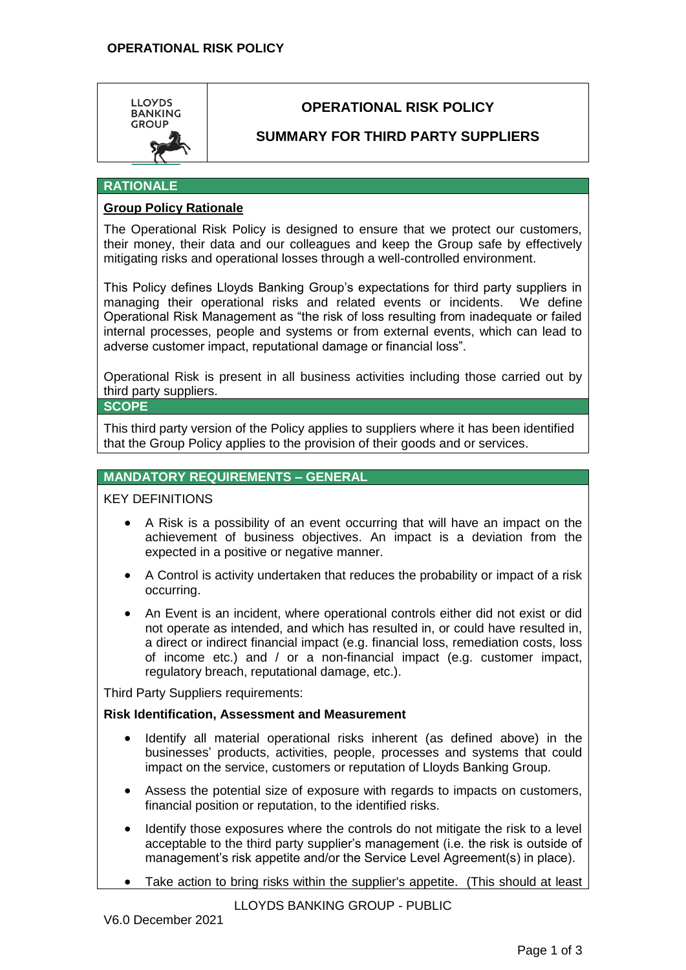

# **OPERATIONAL RISK POLICY**

## **SUMMARY FOR THIRD PARTY SUPPLIERS**

#### **RATIONALE**

### **Group Policy Rationale**

The Operational Risk Policy is designed to ensure that we protect our customers, their money, their data and our colleagues and keep the Group safe by effectively mitigating risks and operational losses through a well-controlled environment.

This Policy defines Lloyds Banking Group's expectations for third party suppliers in managing their operational risks and related events or incidents. We define Operational Risk Management as "the risk of loss resulting from inadequate or failed internal processes, people and systems or from external events, which can lead to adverse customer impact, reputational damage or financial loss".

Operational Risk is present in all business activities including those carried out by third party suppliers.

#### **SCOPE**

This third party version of the Policy applies to suppliers where it has been identified that the Group Policy applies to the provision of their goods and or services.

#### **MANDATORY REQUIREMENTS – GENERAL**

#### KEY DEFINITIONS

- A Risk is a possibility of an event occurring that will have an impact on the achievement of business objectives. An impact is a deviation from the expected in a positive or negative manner.
- A Control is activity undertaken that reduces the probability or impact of a risk occurring.
- An Event is an incident, where operational controls either did not exist or did not operate as intended, and which has resulted in, or could have resulted in, a direct or indirect financial impact (e.g. financial loss, remediation costs, loss of income etc.) and / or a non-financial impact (e.g. customer impact, regulatory breach, reputational damage, etc.).

Third Party Suppliers requirements:

#### **Risk Identification, Assessment and Measurement**

- Identify all material operational risks inherent (as defined above) in the businesses' products, activities, people, processes and systems that could impact on the service, customers or reputation of Lloyds Banking Group.
- Assess the potential size of exposure with regards to impacts on customers, financial position or reputation, to the identified risks.
- Identify those exposures where the controls do not mitigate the risk to a level acceptable to the third party supplier's management (i.e. the risk is outside of management's risk appetite and/or the Service Level Agreement(s) in place).
- Take action to bring risks within the supplier's appetite. (This should at least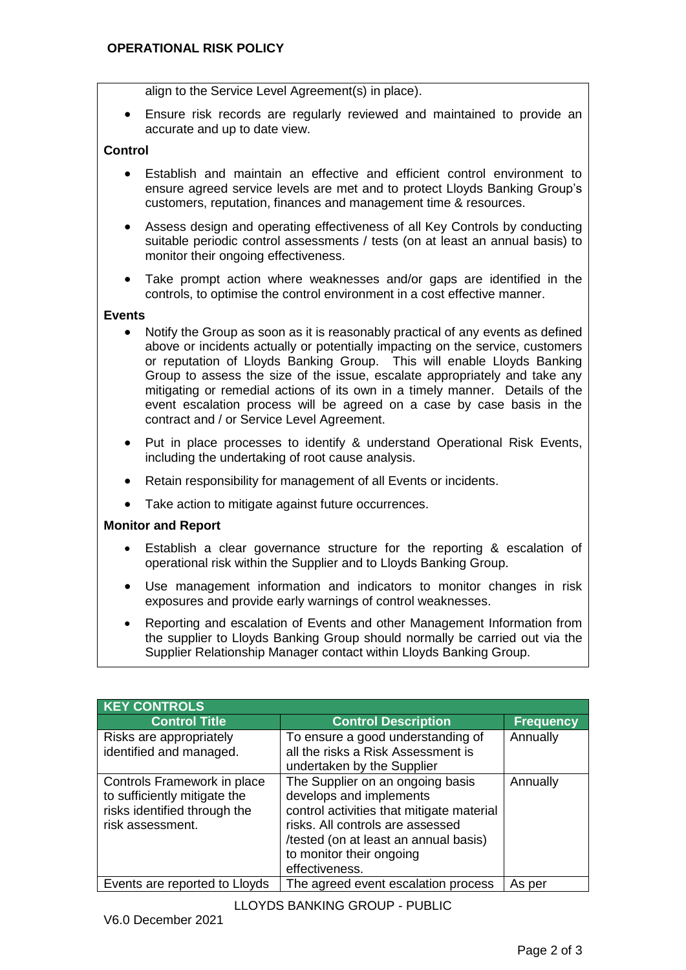align to the Service Level Agreement(s) in place).

 Ensure risk records are regularly reviewed and maintained to provide an accurate and up to date view.

#### **Control**

- Establish and maintain an effective and efficient control environment to ensure agreed service levels are met and to protect Lloyds Banking Group's customers, reputation, finances and management time & resources.
- Assess design and operating effectiveness of all Key Controls by conducting suitable periodic control assessments / tests (on at least an annual basis) to monitor their ongoing effectiveness.
- Take prompt action where weaknesses and/or gaps are identified in the controls, to optimise the control environment in a cost effective manner.

#### **Events**

- Notify the Group as soon as it is reasonably practical of any events as defined above or incidents actually or potentially impacting on the service, customers or reputation of Lloyds Banking Group. This will enable Lloyds Banking Group to assess the size of the issue, escalate appropriately and take any mitigating or remedial actions of its own in a timely manner. Details of the event escalation process will be agreed on a case by case basis in the contract and / or Service Level Agreement.
- Put in place processes to identify & understand Operational Risk Events, including the undertaking of root cause analysis.
- Retain responsibility for management of all Events or incidents.
- Take action to mitigate against future occurrences.

#### **Monitor and Report**

- Establish a clear governance structure for the reporting & escalation of operational risk within the Supplier and to Lloyds Banking Group.
- Use management information and indicators to monitor changes in risk exposures and provide early warnings of control weaknesses.
- Reporting and escalation of Events and other Management Information from the supplier to Lloyds Banking Group should normally be carried out via the Supplier Relationship Manager contact within Lloyds Banking Group.

| <b>KEY CONTROLS</b>                                                                                             |                                                                                                                                                                                                                                     |                  |
|-----------------------------------------------------------------------------------------------------------------|-------------------------------------------------------------------------------------------------------------------------------------------------------------------------------------------------------------------------------------|------------------|
| <b>Control Title</b>                                                                                            | <b>Control Description</b>                                                                                                                                                                                                          | <b>Frequency</b> |
| Risks are appropriately<br>identified and managed.                                                              | To ensure a good understanding of<br>all the risks a Risk Assessment is<br>undertaken by the Supplier                                                                                                                               | Annually         |
| Controls Framework in place<br>to sufficiently mitigate the<br>risks identified through the<br>risk assessment. | The Supplier on an ongoing basis<br>develops and implements<br>control activities that mitigate material<br>risks. All controls are assessed<br>/tested (on at least an annual basis)<br>to monitor their ongoing<br>effectiveness. | Annually         |
| Events are reported to Lloyds                                                                                   | The agreed event escalation process                                                                                                                                                                                                 | As per           |

LLOYDS BANKING GROUP - PUBLIC